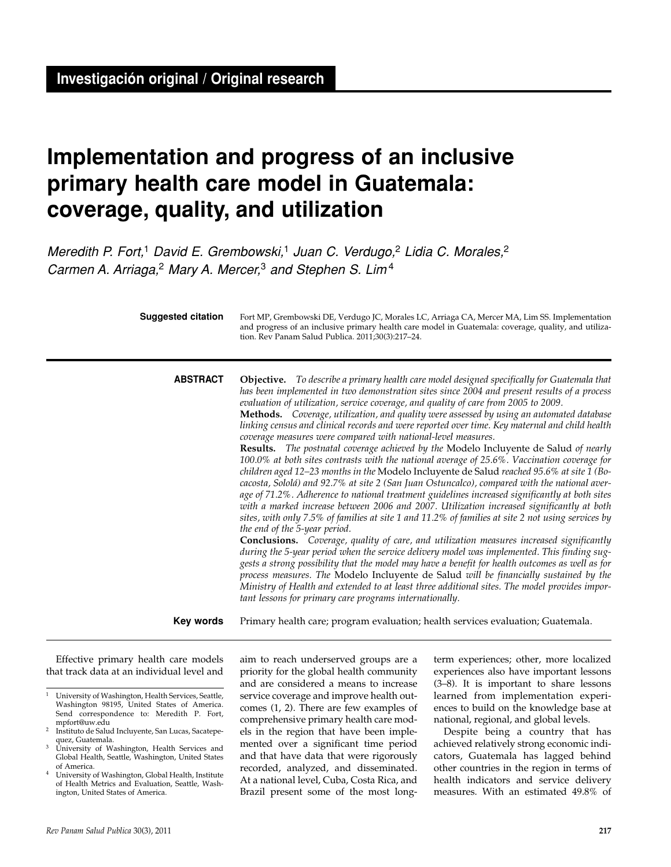# **Implementation and progress of an inclusive primary health care model in Guatemala: coverage, quality, and utilization**

Meredith P. Fort,<sup>1</sup> David E. Grembowski,<sup>1</sup> Juan C. Verdugo,<sup>2</sup> Lidia C. Morales,<sup>2</sup> Carmen A. Arriaga,<sup>2</sup> Mary A. Mercer,<sup>3</sup> and Stephen S. Lim<sup>4</sup>

| Suggested citation | Fort MP, Grembowski DE, Verdugo JC, Morales LC, Arriaga CA, Mercer MA, Lim SS. Implementation<br>and progress of an inclusive primary health care model in Guatemala: coverage, quality, and utiliza-<br>tion. Rev Panam Salud Publica. 2011;30(3):217-24.                                                                                                                                                                                                                                                                                                                                                                                                                                                                                                                                                                                                                                                                                                                                                                                                                                                                                                                                                                                                                                                                                                                                                                                                                                                                                                                                                                                                                                                                                                                                                                                 |
|--------------------|--------------------------------------------------------------------------------------------------------------------------------------------------------------------------------------------------------------------------------------------------------------------------------------------------------------------------------------------------------------------------------------------------------------------------------------------------------------------------------------------------------------------------------------------------------------------------------------------------------------------------------------------------------------------------------------------------------------------------------------------------------------------------------------------------------------------------------------------------------------------------------------------------------------------------------------------------------------------------------------------------------------------------------------------------------------------------------------------------------------------------------------------------------------------------------------------------------------------------------------------------------------------------------------------------------------------------------------------------------------------------------------------------------------------------------------------------------------------------------------------------------------------------------------------------------------------------------------------------------------------------------------------------------------------------------------------------------------------------------------------------------------------------------------------------------------------------------------------|
| <b>ABSTRACT</b>    | <b>Objective.</b> To describe a primary health care model designed specifically for Guatemala that<br>has been implemented in two demonstration sites since 2004 and present results of a process<br>evaluation of utilization, service coverage, and quality of care from 2005 to 2009.<br>Methods. Coverage, utilization, and quality were assessed by using an automated database<br>linking census and clinical records and were reported over time. Key maternal and child health<br>coverage measures were compared with national-level measures.<br>Results. The postnatal coverage achieved by the Modelo Incluyente de Salud of nearly<br>100.0% at both sites contrasts with the national average of 25.6%. Vaccination coverage for<br>children aged 12-23 months in the Modelo Incluyente de Salud reached 95.6% at site 1 (Bo-<br>cacosta, Sololá) and 92.7% at site 2 (San Juan Ostuncalco), compared with the national aver-<br>age of 71.2%. Adherence to national treatment guidelines increased significantly at both sites<br>with a marked increase between 2006 and 2007. Utilization increased significantly at both<br>sites, with only 7.5% of families at site 1 and 11.2% of families at site 2 not using services by<br>the end of the 5-year period.<br><b>Conclusions.</b> Coverage, quality of care, and utilization measures increased significantly<br>during the 5-year period when the service delivery model was implemented. This finding sug-<br>gests a strong possibility that the model may have a benefit for health outcomes as well as for<br>process measures. The Modelo Incluyente de Salud will be financially sustained by the<br>Ministry of Health and extended to at least three additional sites. The model provides impor-<br>tant lessons for primary care programs internationally. |
| Key words          | Primary health care; program evaluation; health services evaluation; Guatemala.                                                                                                                                                                                                                                                                                                                                                                                                                                                                                                                                                                                                                                                                                                                                                                                                                                                                                                                                                                                                                                                                                                                                                                                                                                                                                                                                                                                                                                                                                                                                                                                                                                                                                                                                                            |

Effective primary health care models that track data at an individual level and

aim to reach underserved groups are a priority for the global health community and are considered a means to increase service coverage and improve health outcomes (1, 2). There are few examples of comprehensive primary health care models in the region that have been implemented over a significant time period and that have data that were rigorously recorded, analyzed, and disseminated. At a national level, Cuba, Costa Rica, and Brazil present some of the most longterm experiences; other, more localized experiences also have important lessons (3–8). It is important to share lessons learned from implementation experiences to build on the knowledge base at national, regional, and global levels.

Despite being a country that has achieved relatively strong economic indicators, Guatemala has lagged behind other countries in the region in terms of health indicators and service delivery measures. With an estimated 49.8% of

<sup>1</sup> University of Washington, Health Services, Seattle, Washington 98195, United States of America. Send correspondence to: Meredith P. Fort, mpfort@uw.edu

<sup>&</sup>lt;sup>2</sup> Instituto de Salud Incluyente, San Lucas, Sacatepequez, Guatemala.

University of Washington, Health Services and Global Health, Seattle, Washington, United States of America.

<sup>4</sup> University of Washington, Global Health, Institute of Health Metrics and Evaluation, Seattle, Washington, United States of America.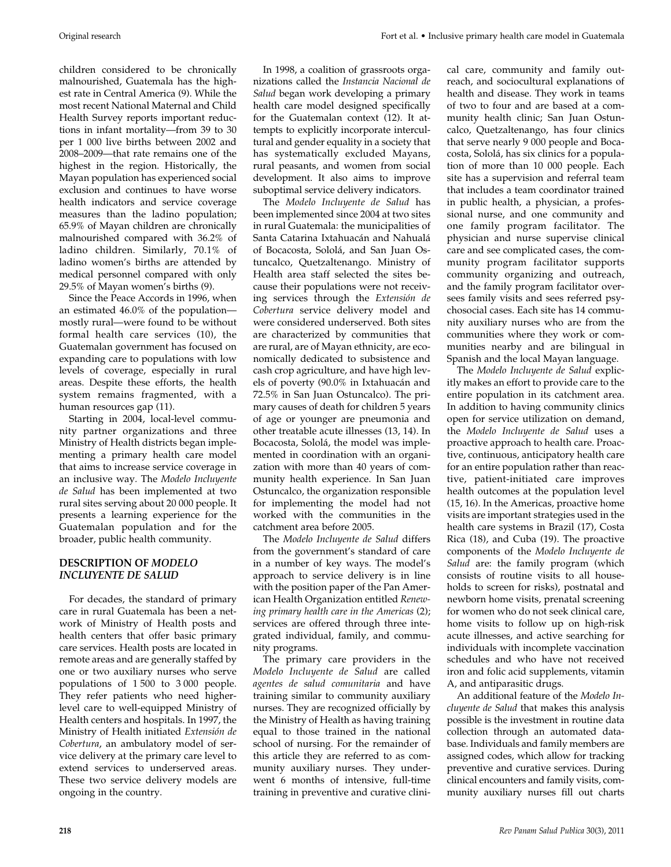children considered to be chronically malnourished, Guatemala has the highest rate in Central America (9). While the most recent National Maternal and Child Health Survey reports important reductions in infant mortality—from 39 to 30 per 1 000 live births between 2002 and 2008–2009—that rate remains one of the highest in the region. Historically, the Mayan population has experienced social exclusion and continues to have worse health indicators and service coverage measures than the ladino population; 65.9% of Mayan children are chronically malnourished compared with 36.2% of ladino children. Similarly, 70.1% of ladino women's births are attended by medical personnel compared with only 29.5% of Mayan women's births (9).

Since the Peace Accords in 1996, when an estimated 46.0% of the population mostly rural—were found to be without formal health care services (10), the Guatemalan government has focused on expanding care to populations with low levels of coverage, especially in rural areas. Despite these efforts, the health system remains fragmented, with a human resources gap (11).

Starting in 2004, local-level community partner organizations and three Ministry of Health districts began implementing a primary health care model that aims to increase service coverage in an inclusive way*.* The *Modelo Incluyente de Salud* has been implemented at two rural sites serving about 20 000 people. It presents a learning experience for the Guatemalan population and for the broader, public health community.

# **DESCRIPTION OF** *MODELO INCLUYENTE DE SALUD*

For decades, the standard of primary care in rural Guatemala has been a network of Ministry of Health posts and health centers that offer basic primary care services. Health posts are located in remote areas and are generally staffed by one or two auxiliary nurses who serve populations of 1 500 to 3 000 people. They refer patients who need higherlevel care to well-equipped Ministry of Health centers and hospitals. In 1997, the Ministry of Health initiated *Extensión de Cobertura*, an ambulatory model of service delivery at the primary care level to extend services to underserved areas. These two service delivery models are ongoing in the country.

The *Modelo Incluyente de Salud* has been implemented since 2004 at two sites in rural Guatemala: the municipalities of Santa Catarina Ixtahuacán and Nahualá of Bocacosta, Sololá, and San Juan Ostuncalco, Quetzaltenango. Ministry of Health area staff selected the sites because their populations were not receiving services through the *Extensión de Cobertura* service delivery model and were considered underserved. Both sites are characterized by communities that are rural, are of Mayan ethnicity, are economically dedicated to subsistence and cash crop agriculture, and have high levels of poverty (90.0% in Ixtahuacán and 72.5% in San Juan Ostuncalco). The primary causes of death for children 5 years of age or younger are pneumonia and other treatable acute illnesses (13, 14). In Bocacosta, Sololá, the model was implemented in coordination with an organization with more than 40 years of community health experience. In San Juan Ostuncalco, the organization responsible for implementing the model had not worked with the communities in the catchment area before 2005.

The *Modelo Incluyente de Salud* differs from the government's standard of care in a number of key ways. The model's approach to service delivery is in line with the position paper of the Pan American Health Organization entitled *Renewing primary health care in the Americas* (2); services are offered through three integrated individual, family, and community programs.

The primary care providers in the *Modelo Incluyente de Salud* are called *agentes de salud comunitaria* and have training similar to community auxiliary nurses. They are recognized officially by the Ministry of Health as having training equal to those trained in the national school of nursing. For the remainder of this article they are referred to as community auxiliary nurses. They underwent 6 months of intensive, full-time training in preventive and curative clini-

Original research Fort et al. • Inclusive primary health care model in Guatemala

cal care, community and family outreach, and sociocultural explanations of health and disease. They work in teams of two to four and are based at a community health clinic; San Juan Ostuncalco, Quetzaltenango, has four clinics that serve nearly 9 000 people and Bocacosta, Sololá, has six clinics for a population of more than 10 000 people. Each site has a supervision and referral team that includes a team coordinator trained in public health, a physician, a professional nurse, and one community and one family program facilitator. The physician and nurse supervise clinical care and see complicated cases, the community program facilitator supports community organizing and outreach, and the family program facilitator oversees family visits and sees referred psychosocial cases. Each site has 14 community auxiliary nurses who are from the communities where they work or communities nearby and are bilingual in Spanish and the local Mayan language.

The *Modelo Incluyente de Salud* explicitly makes an effort to provide care to the entire population in its catchment area. In addition to having community clinics open for service utilization on demand, the *Modelo Incluyente de Salud* uses a proactive approach to health care. Proactive, continuous, anticipatory health care for an entire population rather than reactive, patient-initiated care improves health outcomes at the population level (15, 16). In the Americas, proactive home visits are important strategies used in the health care systems in Brazil (17), Costa Rica (18), and Cuba (19). The proactive components of the *Modelo Incluyente de Salud* are: the family program (which consists of routine visits to all households to screen for risks), postnatal and newborn home visits, prenatal screening for women who do not seek clinical care, home visits to follow up on high-risk acute illnesses, and active searching for individuals with incomplete vaccination schedules and who have not received iron and folic acid supplements, vitamin A, and antiparasitic drugs.

An additional feature of the *Modelo Incluyente de Salud* that makes this analysis possible is the investment in routine data collection through an automated database. Individuals and family members are assigned codes, which allow for tracking preventive and curative services. During clinical encounters and family visits, community auxiliary nurses fill out charts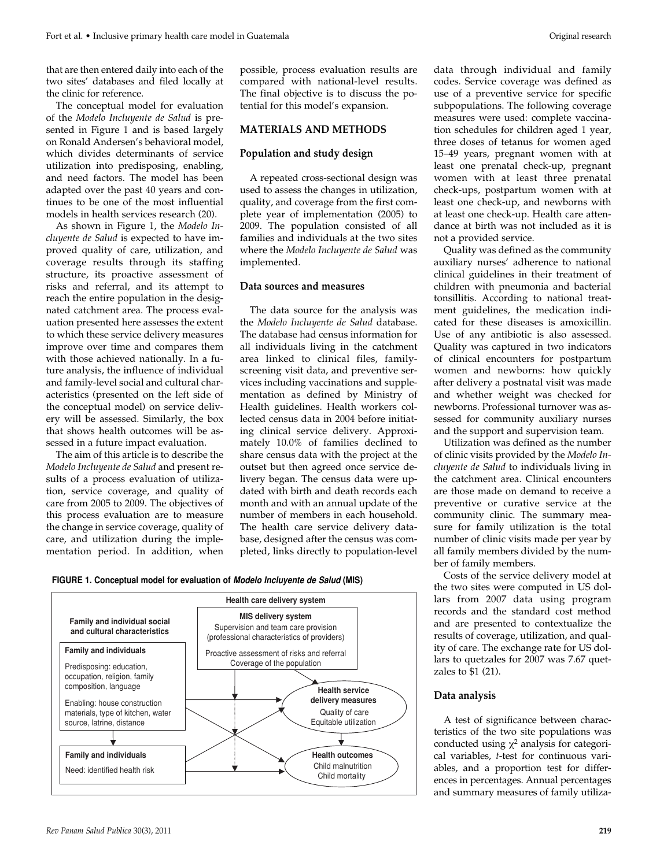that are then entered daily into each of the two sites' databases and filed locally at the clinic for reference.

The conceptual model for evaluation of the *Modelo Incluyente de Salud* is presented in Figure 1 and is based largely on Ronald Andersen's behavioral model, which divides determinants of service utilization into predisposing, enabling, and need factors. The model has been adapted over the past 40 years and continues to be one of the most influential models in health services research (20).

As shown in Figure 1, the *Modelo Incluyente de Salud* is expected to have improved quality of care, utilization, and coverage results through its staffing structure, its proactive assessment of risks and referral, and its attempt to reach the entire population in the designated catchment area. The process evaluation presented here assesses the extent to which these service delivery measures improve over time and compares them with those achieved nationally. In a future analysis, the influence of individual and family-level social and cultural characteristics (presented on the left side of the conceptual model) on service delivery will be assessed. Similarly, the box that shows health outcomes will be assessed in a future impact evaluation.

The aim of this article is to describe the *Modelo Incluyente de Salud* and present results of a process evaluation of utilization, service coverage, and quality of care from 2005 to 2009. The objectives of this process evaluation are to measure the change in service coverage, quality of care, and utilization during the implementation period. In addition, when

possible, process evaluation results are compared with national-level results. The final objective is to discuss the potential for this model's expansion.

## **MATERIALS AND METHODS**

#### **Population and study design**

A repeated cross-sectional design was used to assess the changes in utilization, quality, and coverage from the first complete year of implementation (2005) to 2009. The population consisted of all families and individuals at the two sites where the *Modelo Incluyente de Salud* was implemented.

## **Data sources and measures**

The data source for the analysis was the *Modelo Incluyente de Salud* database. The database had census information for all individuals living in the catchment area linked to clinical files, familyscreening visit data, and preventive services including vaccinations and supplementation as defined by Ministry of Health guidelines. Health workers collected census data in 2004 before initiating clinical service delivery. Approximately 10.0% of families declined to share census data with the project at the outset but then agreed once service delivery began. The census data were updated with birth and death records each month and with an annual update of the number of members in each household. The health care service delivery database, designed after the census was completed, links directly to population-level





*Rev Panam Salud Publica* 30(3), 2011 **219**

data through individual and family codes. Service coverage was defined as use of a preventive service for specific subpopulations. The following coverage measures were used: complete vaccination schedules for children aged 1 year, three doses of tetanus for women aged 15–49 years, pregnant women with at least one prenatal check-up, pregnant women with at least three prenatal check-ups, postpartum women with at least one check-up, and newborns with at least one check-up. Health care attendance at birth was not included as it is not a provided service.

Quality was defined as the community auxiliary nurses' adherence to national clinical guidelines in their treatment of children with pneumonia and bacterial tonsillitis. According to national treatment guidelines, the medication indicated for these diseases is amoxicillin. Use of any antibiotic is also assessed. Quality was captured in two indicators of clinical encounters for postpartum women and newborns: how quickly after delivery a postnatal visit was made and whether weight was checked for newborns. Professional turnover was assessed for community auxiliary nurses and the support and supervision team.

Utilization was defined as the number of clinic visits provided by the *Modelo Incluyente de Salud* to individuals living in the catchment area. Clinical encounters are those made on demand to receive a preventive or curative service at the community clinic. The summary measure for family utilization is the total number of clinic visits made per year by all family members divided by the number of family members.

Costs of the service delivery model at the two sites were computed in US dollars from 2007 data using program records and the standard cost method and are presented to contextualize the results of coverage, utilization, and quality of care. The exchange rate for US dollars to quetzales for 2007 was 7.67 quetzales to \$1 (21).

#### **Data analysis**

A test of significance between characteristics of the two site populations was conducted using  $\chi^2$  analysis for categorical variables, *t*-test for continuous variables, and a proportion test for differences in percentages. Annual percentages and summary measures of family utiliza-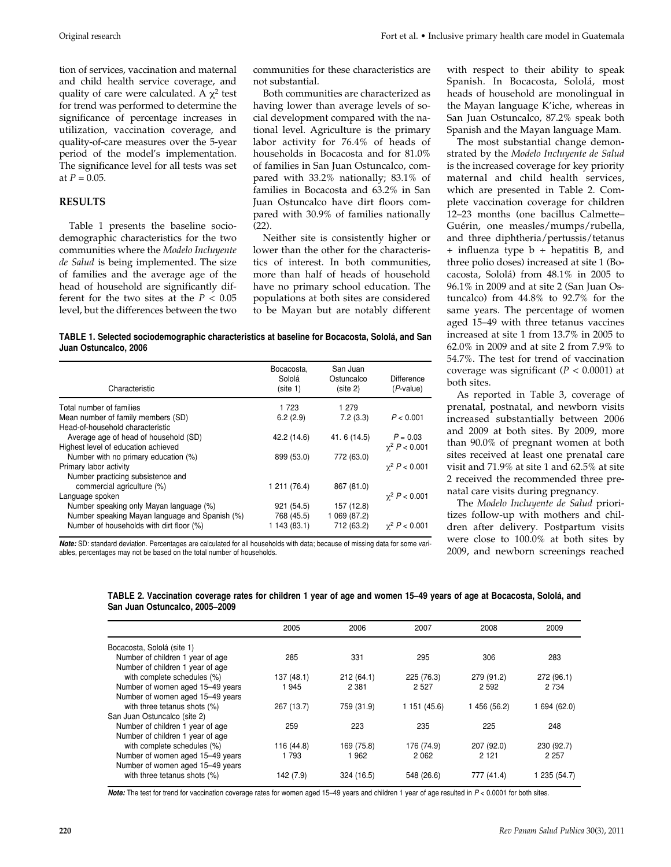tion of services, vaccination and maternal and child health service coverage, and quality of care were calculated. A  $\chi^2$  test for trend was performed to determine the significance of percentage increases in utilization, vaccination coverage, and quality-of-care measures over the 5-year period of the model's implementation. The significance level for all tests was set at  $P = 0.05$ .

#### **RESULTS**

Table 1 presents the baseline sociodemographic characteristics for the two communities where the *Modelo Incluyente de Salud* is being implemented. The size of families and the average age of the head of household are significantly different for the two sites at the  $P < 0.05$ level, but the differences between the two communities for these characteristics are not substantial.

Both communities are characterized as having lower than average levels of social development compared with the national level. Agriculture is the primary labor activity for 76.4% of heads of households in Bocacosta and for 81.0% of families in San Juan Ostuncalco, compared with 33.2% nationally; 83.1% of families in Bocacosta and 63.2% in San Juan Ostuncalco have dirt floors compared with 30.9% of families nationally (22).

Neither site is consistently higher or lower than the other for the characteristics of interest. In both communities, more than half of heads of household have no primary school education. The populations at both sites are considered to be Mayan but are notably different

**TABLE 1. Selected sociodemographic characteristics at baseline for Bocacosta, Sololá, and San Juan Ostuncalco, 2006**

| Characteristic                                 | Bocacosta.<br>Sololá<br>(site 1) | San Juan<br>Ostuncalco<br>(site 2) | Difference<br>$(P-value)$ |
|------------------------------------------------|----------------------------------|------------------------------------|---------------------------|
| Total number of families                       | 1 723                            | 1 279                              |                           |
| Mean number of family members (SD)             | 6.2(2.9)                         | 7.2(3.3)                           | P < 0.001                 |
| Head-of-household characteristic               |                                  |                                    |                           |
| Average age of head of household (SD)          | 42.2 (14.6)                      | 41.6 (14.5)                        | $P = 0.03$                |
| Highest level of education achieved            |                                  |                                    | $\gamma^2 P < 0.001$      |
| Number with no primary education (%)           | 899 (53.0)                       | 772 (63.0)                         |                           |
| Primary labor activity                         |                                  |                                    | $\gamma^2 P < 0.001$      |
| Number practicing subsistence and              |                                  |                                    |                           |
| commercial agriculture (%)                     | 1 211 (76.4)                     | 867 (81.0)                         |                           |
| Language spoken                                |                                  |                                    | $\chi^2$ P < 0.001        |
| Number speaking only Mayan language (%)        | 921 (54.5)                       | 157 (12.8)                         |                           |
| Number speaking Mayan language and Spanish (%) | 768 (45.5)                       | 1 069 (87.2)                       |                           |
| Number of households with dirt floor (%)       | 1 143 (83.1)                     | 712 (63.2)                         | $\gamma^2 P < 0.001$      |

**Note:** SD: standard deviation. Percentages are calculated for all households with data; because of missing data for some variables, percentages may not be based on the total number of households.

with respect to their ability to speak Spanish. In Bocacosta, Sololá, most heads of household are monolingual in the Mayan language K'iche, whereas in San Juan Ostuncalco, 87.2% speak both Spanish and the Mayan language Mam.

The most substantial change demonstrated by the *Modelo Incluyente de Salud* is the increased coverage for key priority maternal and child health services, which are presented in Table 2. Complete vaccination coverage for children 12–23 months (one bacillus Calmette– Guérin, one measles/mumps/rubella, and three diphtheria/pertussis/tetanus + influenza type b + hepatitis B, and three polio doses) increased at site 1 (Bocacosta, Sololá) from 48.1% in 2005 to 96.1% in 2009 and at site 2 (San Juan Ostuncalco) from 44.8% to 92.7% for the same years. The percentage of women aged 15–49 with three tetanus vaccines increased at site 1 from 13.7% in 2005 to 62.0% in 2009 and at site 2 from 7.9% to 54.7%. The test for trend of vaccination coverage was significant  $(P < 0.0001)$  at both sites.

As reported in Table 3, coverage of prenatal, postnatal, and newborn visits increased substantially between 2006 and 2009 at both sites. By 2009, more than 90.0% of pregnant women at both sites received at least one prenatal care visit and 71.9% at site 1 and 62.5% at site 2 received the recommended three prenatal care visits during pregnancy.

The *Modelo Incluyente de Salud* prioritizes follow-up with mothers and children after delivery. Postpartum visits were close to 100.0% at both sites by 2009, and newborn screenings reached

| TABLE 2. Vaccination coverage rates for children 1 year of age and women 15–49 years of age at Bocacosta, Sololá, and |  |  |  |  |
|-----------------------------------------------------------------------------------------------------------------------|--|--|--|--|
| San Juan Ostuncalco, 2005–2009                                                                                        |  |  |  |  |

|                                  | 2005       | 2006       | 2007         | 2008       | 2009         |
|----------------------------------|------------|------------|--------------|------------|--------------|
| Bocacosta, Sololá (site 1)       |            |            |              |            |              |
| Number of children 1 year of age | 285        | 331        | 295          | 306        | 283          |
| Number of children 1 year of age |            |            |              |            |              |
| with complete schedules (%)      | 137 (48.1) | 212(64.1)  | 225 (76.3)   | 279 (91.2) | 272 (96.1)   |
| Number of women aged 15-49 years | 1945       | 2 3 8 1    | 2 5 2 7      | 2 5 9 2    | 2 7 3 4      |
| Number of women aged 15-49 years |            |            |              |            |              |
| with three tetanus shots (%)     | 267 (13.7) | 759 (31.9) | 1 151 (45.6) | 456 (56.2) | 1 694 (62.0) |
| San Juan Ostuncalco (site 2)     |            |            |              |            |              |
| Number of children 1 year of age | 259        | 223        | 235          | 225        | 248          |
| Number of children 1 year of age |            |            |              |            |              |
| with complete schedules (%)      | 116 (44.8) | 169 (75.8) | 176 (74.9)   | 207 (92.0) | 230 (92.7)   |
| Number of women aged 15-49 years | 1 7 9 3    | 962        | 2062         | 2 1 2 1    | 2 2 5 7      |
| Number of women aged 15-49 years |            |            |              |            |              |
| with three tetanus shots (%)     | 142 (7.9)  | 324 (16.5) | 548 (26.6)   | 777 (41.4) | 1 235 (54.7) |

Note: The test for trend for vaccination coverage rates for women aged 15–49 years and children 1 year of age resulted in P < 0.0001 for both sites.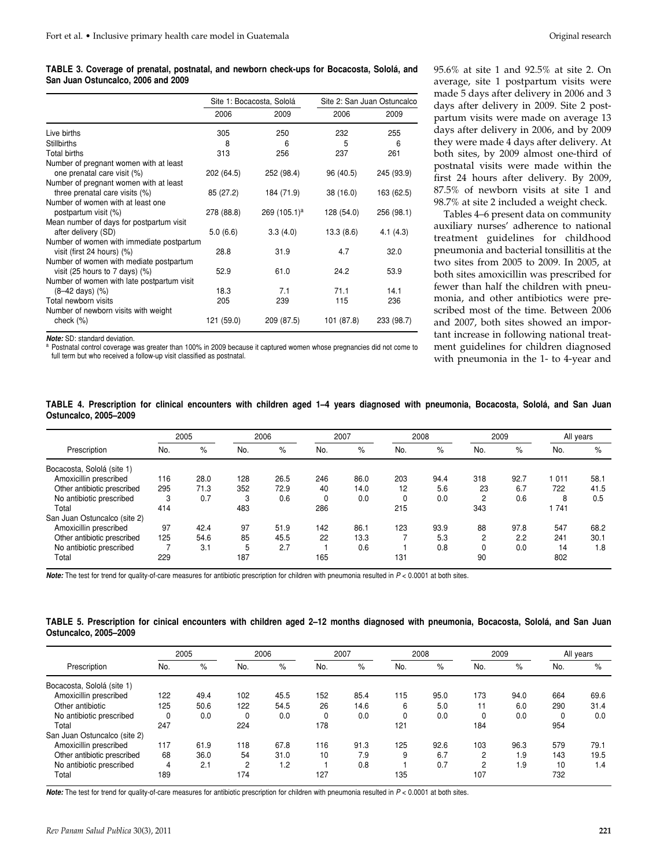**TABLE 3. Coverage of prenatal, postnatal, and newborn check-ups for Bocacosta, Sololá, and San Juan Ostuncalco, 2006 and 2009**

|                                            |            | Site 1: Bocacosta, Sololá |            | Site 2: San Juan Ostuncalco |
|--------------------------------------------|------------|---------------------------|------------|-----------------------------|
|                                            | 2006       | 2009                      | 2006       | 2009                        |
| Live births                                | 305        | 250                       | 232        | 255                         |
| <b>Stillbirths</b>                         | 8          | 6                         | 5          | 6                           |
| Total births                               | 313        | 256                       | 237        | 261                         |
| Number of pregnant women with at least     |            |                           |            |                             |
| one prenatal care visit (%)                | 202 (64.5) | 252 (98.4)                | 96 (40.5)  | 245 (93.9)                  |
| Number of pregnant women with at least     |            |                           |            |                             |
| three prenatal care visits (%)             | 85 (27.2)  | 184 (71.9)                | 38 (16.0)  | 163 (62.5)                  |
| Number of women with at least one          |            |                           |            |                             |
| postpartum visit (%)                       | 278 (88.8) | 269 (105.1) <sup>a</sup>  | 128 (54.0) | 256 (98.1)                  |
| Mean number of days for postpartum visit   |            |                           |            |                             |
| after delivery (SD)                        | 5.0(6.6)   | 3.3(4.0)                  | 13.3(8.6)  | 4.1(4.3)                    |
| Number of women with immediate postpartum  |            |                           |            |                             |
| visit (first 24 hours) (%)                 | 28.8       | 31.9                      | 4.7        | 32.0                        |
| Number of women with mediate postpartum    |            |                           |            |                             |
| visit (25 hours to 7 days) $(\%)$          | 52.9       | 61.0                      | 24.2       | 53.9                        |
| Number of women with late postpartum visit |            |                           |            |                             |
| $(8-42 \text{ days})$ $(%)$                | 18.3       | 7.1                       | 71.1       | 14.1                        |
| Total newborn visits                       | 205        | 239                       | 115        | 236                         |
| Number of newborn visits with weight       |            |                           |            |                             |
| check (%)                                  | 121 (59.0) | 209 (87.5)                | 101 (87.8) | 233 (98.7)                  |

95.6% at site 1 and 92.5% at site 2. On average, site 1 postpartum visits were made 5 days after delivery in 2006 and 3 days after delivery in 2009. Site 2 postpartum visits were made on average 13 days after delivery in 2006, and by 2009 they were made 4 days after delivery. At both sites, by 2009 almost one-third of postnatal visits were made within the first 24 hours after delivery. By 2009, 87.5% of newborn visits at site 1 and 98.7% at site 2 included a weight check.

Tables 4–6 present data on community auxiliary nurses' adherence to national treatment guidelines for childhood pneumonia and bacterial tonsillitis at the two sites from 2005 to 2009. In 2005, at both sites amoxicillin was prescribed for fewer than half the children with pneumonia, and other antibiotics were prescribed most of the time. Between 2006 and 2007, both sites showed an important increase in following national treatment guidelines for children diagnosed with pneumonia in the 1- to 4-year and

**Note:** SD: standard deviation.<br><sup>a</sup> Postnatal control coverage was greater than 100% in 2009 because it captured women whose pregnancies did not come to full term but who received a follow-up visit classified as postnatal.

| TABLE 4. Prescription for clinical encounters with children aged 1–4 years diagnosed with pneumonia, Bocacosta, Sololá, and San Juan |  |  |  |  |  |  |  |  |
|--------------------------------------------------------------------------------------------------------------------------------------|--|--|--|--|--|--|--|--|
| Ostuncalco, 2005-2009                                                                                                                |  |  |  |  |  |  |  |  |

|                              | 2005 |      | 2006 |      | 2007 |      | 2008 |      | 2009         |      | All years |      |
|------------------------------|------|------|------|------|------|------|------|------|--------------|------|-----------|------|
| Prescription                 | No.  | $\%$ | No.  | $\%$ | No.  | $\%$ | No.  | %    | No.          | $\%$ | No.       | $\%$ |
| Bocacosta, Sololá (site 1)   |      |      |      |      |      |      |      |      |              |      |           |      |
| Amoxicillin prescribed       | 116  | 28.0 | 128  | 26.5 | 246  | 86.0 | 203  | 94.4 | 318          | 92.7 | 1 011     | 58.1 |
| Other antibiotic prescribed  | 295  | 71.3 | 352  | 72.9 | 40   | 14.0 | 12   | 5.6  | 23           | 6.7  | 722       | 41.5 |
| No antibiotic prescribed     | 3    | 0.7  | 3    | 0.6  | 0    | 0.0  | 0    | 0.0  | 2            | 0.6  | 8         | 0.5  |
| Total                        | 414  |      | 483  |      | 286  |      | 215  |      | 343          |      | 1741      |      |
| San Juan Ostuncalco (site 2) |      |      |      |      |      |      |      |      |              |      |           |      |
| Amoxicillin prescribed       | 97   | 42.4 | 97   | 51.9 | 142  | 86.1 | 123  | 93.9 | 88           | 97.8 | 547       | 68.2 |
| Other antibiotic prescribed  | 125  | 54.6 | 85   | 45.5 | 22   | 13.3 |      | 5.3  | 2            | 2.2  | 241       | 30.1 |
| No antibiotic prescribed     |      | 3.1  | 5    | 2.7  |      | 0.6  |      | 0.8  | $\mathbf{0}$ | 0.0  | 14        | 1.8  |
| Total                        | 229  |      | 187  |      | 165  |      | 131  |      | 90           |      | 802       |      |

Note: The test for trend for quality-of-care measures for antibiotic prescription for children with pneumonia resulted in  $P < 0.0001$  at both sites.

|                       | TABLE 5. Prescription for cinical encounters with children aged 2-12 months diagnosed with pneumonia, Bocacosta, Sololá, and San Juan |  |  |  |  |  |  |  |
|-----------------------|---------------------------------------------------------------------------------------------------------------------------------------|--|--|--|--|--|--|--|
| Ostuncalco, 2005-2009 |                                                                                                                                       |  |  |  |  |  |  |  |

|                              | 2005     |      |                | 2006 |     | 2007 |     | 2008 |                | 2009 |          | All years |  |
|------------------------------|----------|------|----------------|------|-----|------|-----|------|----------------|------|----------|-----------|--|
| Prescription                 | No.      | %    | No.            | $\%$ | No. | $\%$ | No. | $\%$ | No.            | $\%$ | No.      | $\%$      |  |
| Bocacosta, Sololá (site 1)   |          |      |                |      |     |      |     |      |                |      |          |           |  |
| Amoxicillin prescribed       | 122      | 49.4 | 102            | 45.5 | 152 | 85.4 | 115 | 95.0 | 173            | 94.0 | 664      | 69.6      |  |
| Other antibiotic             | 125      | 50.6 | 122            | 54.5 | 26  | 14.6 | 6   | 5.0  |                | 6.0  | 290      | 31.4      |  |
| No antibiotic prescribed     | $\Omega$ | 0.0  | $\Omega$       | 0.0  |     | 0.0  | 0   | 0.0  |                | 0.0  | $\Omega$ | 0.0       |  |
| Total                        | 247      |      | 224            |      | 178 |      | 121 |      | 184            |      | 954      |           |  |
| San Juan Ostuncalco (site 2) |          |      |                |      |     |      |     |      |                |      |          |           |  |
| Amoxicillin prescribed       | 117      | 61.9 | 118            | 67.8 | 116 | 91.3 | 125 | 92.6 | 103            | 96.3 | 579      | 79.1      |  |
| Other antibiotic prescribed  | 68       | 36.0 | 54             | 31.0 | 10  | 7.9  | 9   | 6.7  | $\overline{2}$ | 1.9  | 143      | 19.5      |  |
| No antibiotic prescribed     | 4        | 2.1  | $\overline{2}$ | 1.2  |     | 0.8  |     | 0.7  | 2              | 1.9  | 10       | 1.4       |  |
| Total                        | 189      |      | 174            |      | 127 |      | 135 |      | 107            |      | 732      |           |  |

Note: The test for trend for quality-of-care measures for antibiotic prescription for children with pneumonia resulted in P < 0.0001 at both sites.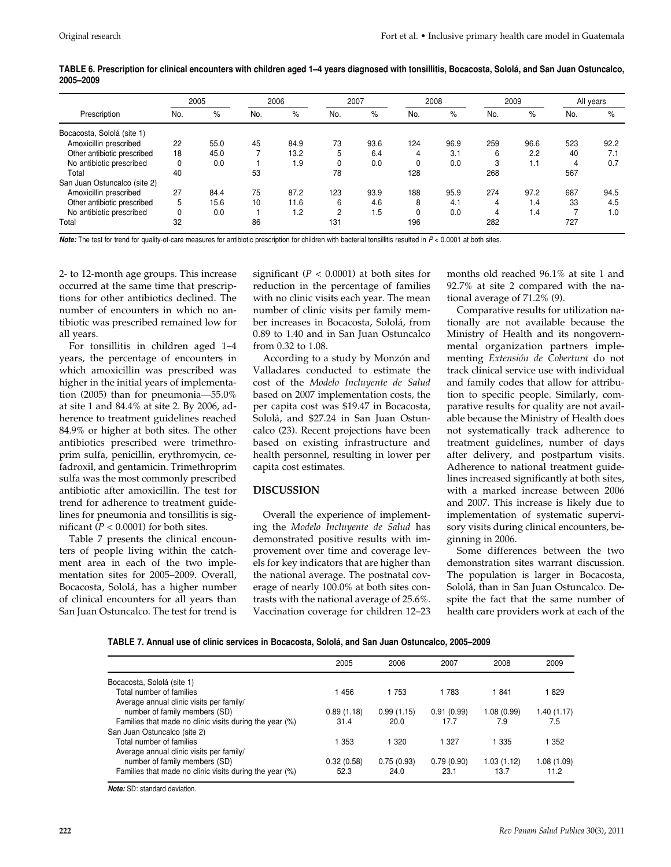|                              | 2005 |      | 2006 |      | 2007 |      | 2008 |      | 2009 |      | All years |      |
|------------------------------|------|------|------|------|------|------|------|------|------|------|-----------|------|
| Prescription                 | No.  | %    | No.  | %    | No.  | $\%$ | No.  | %    | No.  | %    | No.       | %    |
| Bocacosta, Sololá (site 1)   |      |      |      |      |      |      |      |      |      |      |           |      |
| Amoxicillin prescribed       | 22   | 55.0 | 45   | 84.9 | 73   | 93.6 | 124  | 96.9 | 259  | 96.6 | 523       | 92.2 |
| Other antibiotic prescribed  | 18   | 45.0 |      | 13.2 | 5    | 6.4  | 4    | 3.1  | 6    | 2.2  | 40        | 7.1  |
| No antibiotic prescribed     | 0    | 0.0  |      | 1.9  | O    | 0.0  | 0    | 0.0  | 3    | 1.1  | 4         | 0.7  |
| Total                        | 40   |      | 53   |      | 78   |      | 128  |      | 268  |      | 567       |      |
| San Juan Ostuncalco (site 2) |      |      |      |      |      |      |      |      |      |      |           |      |
| Amoxicillin prescribed       | 27   | 84.4 | 75   | 87.2 | 123  | 93.9 | 188  | 95.9 | 274  | 97.2 | 687       | 94.5 |
| Other antibiotic prescribed  | 5    | 15.6 | 10   | 11.6 | 6    | 4.6  | 8    | 4.1  | 4    | 1.4  | 33        | 4.5  |
| No antibiotic prescribed     | 0    | 0.0  |      | 1.2  | 2    | .5   | 0    | 0.0  | 4    | 1.4  |           | 1.0  |
| Total                        | 32   |      | 86   |      | 131  |      | 196  |      | 282  |      | 727       |      |

**TABLE 6. Prescription for clinical encounters with children aged 1–4 years diagnosed with tonsillitis, Bocacosta, Sololá, and San Juan Ostuncalco, 2005–2009**

Note: The test for trend for quality-of-care measures for antibiotic prescription for children with bacterial tonsillitis resulted in P < 0.0001 at both sites.

2- to 12-month age groups. This increase occurred at the same time that prescriptions for other antibiotics declined. The number of encounters in which no antibiotic was prescribed remained low for all years.

For tonsillitis in children aged 1–4 years, the percentage of encounters in which amoxicillin was prescribed was higher in the initial years of implementation (2005) than for pneumonia—55.0% at site 1 and 84.4% at site 2. By 2006, adherence to treatment guidelines reached 84.9% or higher at both sites. The other antibiotics prescribed were trimethroprim sulfa, penicillin, erythromycin, cefadroxil, and gentamicin. Trimethroprim sulfa was the most commonly prescribed antibiotic after amoxicillin. The test for trend for adherence to treatment guidelines for pneumonia and tonsillitis is significant ( $P < 0.0001$ ) for both sites.

Table 7 presents the clinical encounters of people living within the catchment area in each of the two implementation sites for 2005–2009. Overall, Bocacosta, Sololá, has a higher number of clinical encounters for all years than San Juan Ostuncalco. The test for trend is

significant ( $P < 0.0001$ ) at both sites for reduction in the percentage of families with no clinic visits each year. The mean number of clinic visits per family member increases in Bocacosta, Sololá, from 0.89 to 1.40 and in San Juan Ostuncalco from 0.32 to 1.08.

According to a study by Monzón and Valladares conducted to estimate the cost of the *Modelo Incluyente de Salud* based on 2007 implementation costs, the per capita cost was \$19.47 in Bocacosta, Sololá, and \$27.24 in San Juan Ostuncalco (23). Recent projections have been based on existing infrastructure and health personnel, resulting in lower per capita cost estimates.

# **DISCUSSION**

Overall the experience of implementing the *Modelo Incluyente de Salud* has demonstrated positive results with improvement over time and coverage levels for key indicators that are higher than the national average. The postnatal coverage of nearly 100.0% at both sites contrasts with the national average of 25.6%. Vaccination coverage for children 12–23 months old reached 96.1% at site 1 and 92.7% at site 2 compared with the national average of 71.2% (9).

Comparative results for utilization nationally are not available because the Ministry of Health and its nongovernmental organization partners implementing *Extensión de Cobertura* do not track clinical service use with individual and family codes that allow for attribution to specific people. Similarly, comparative results for quality are not available because the Ministry of Health does not systematically track adherence to treatment guidelines, number of days after delivery, and postpartum visits. Adherence to national treatment guidelines increased significantly at both sites, with a marked increase between 2006 and 2007. This increase is likely due to implementation of systematic supervisory visits during clinical encounters, beginning in 2006.

Some differences between the two demonstration sites warrant discussion. The population is larger in Bocacosta, Sololá, than in San Juan Ostuncalco. Despite the fact that the same number of health care providers work at each of the

| TABLE 7. Annual use of clinic services in Bocacosta, Sololá, and San Juan Ostuncalco, 2005–2009 |  |  |
|-------------------------------------------------------------------------------------------------|--|--|
|-------------------------------------------------------------------------------------------------|--|--|

| 2005<br>2008<br>2009<br>2006<br>2007<br>Bocacosta, Sololá (site 1)<br>Total number of families<br>456<br>1 753<br>1 783<br>l 841<br>1 829<br>Average annual clinic visits per family/<br>number of family members (SD)<br>0.91(0.99)<br>1.08(0.99)<br>0.89(1.18)<br>0.99(1.15)<br>Families that made no clinic visits during the year (%)<br>7.5<br>31.4<br>20.0<br>17.7<br>7.9<br>San Juan Ostuncalco (site 2)<br>Total number of families<br>  353<br>335<br>1 3 2 0<br>1 327<br>1 352<br>Average annual clinic visits per family/<br>number of family members (SD)<br>0.32(0.58)<br>0.75(0.93)<br>0.79(0.90)<br>1.03(1.12)<br>Families that made no clinic visits during the year (%)<br>11.2<br>52.3<br>24.0<br>23.1<br>13.7 |  |  |            |
|----------------------------------------------------------------------------------------------------------------------------------------------------------------------------------------------------------------------------------------------------------------------------------------------------------------------------------------------------------------------------------------------------------------------------------------------------------------------------------------------------------------------------------------------------------------------------------------------------------------------------------------------------------------------------------------------------------------------------------|--|--|------------|
|                                                                                                                                                                                                                                                                                                                                                                                                                                                                                                                                                                                                                                                                                                                                  |  |  |            |
|                                                                                                                                                                                                                                                                                                                                                                                                                                                                                                                                                                                                                                                                                                                                  |  |  |            |
|                                                                                                                                                                                                                                                                                                                                                                                                                                                                                                                                                                                                                                                                                                                                  |  |  |            |
|                                                                                                                                                                                                                                                                                                                                                                                                                                                                                                                                                                                                                                                                                                                                  |  |  |            |
|                                                                                                                                                                                                                                                                                                                                                                                                                                                                                                                                                                                                                                                                                                                                  |  |  | 1.40(1.17) |
|                                                                                                                                                                                                                                                                                                                                                                                                                                                                                                                                                                                                                                                                                                                                  |  |  |            |
|                                                                                                                                                                                                                                                                                                                                                                                                                                                                                                                                                                                                                                                                                                                                  |  |  |            |
|                                                                                                                                                                                                                                                                                                                                                                                                                                                                                                                                                                                                                                                                                                                                  |  |  |            |
|                                                                                                                                                                                                                                                                                                                                                                                                                                                                                                                                                                                                                                                                                                                                  |  |  |            |
|                                                                                                                                                                                                                                                                                                                                                                                                                                                                                                                                                                                                                                                                                                                                  |  |  | 1.08(1.09) |
|                                                                                                                                                                                                                                                                                                                                                                                                                                                                                                                                                                                                                                                                                                                                  |  |  |            |

**Note:** SD: standard deviation.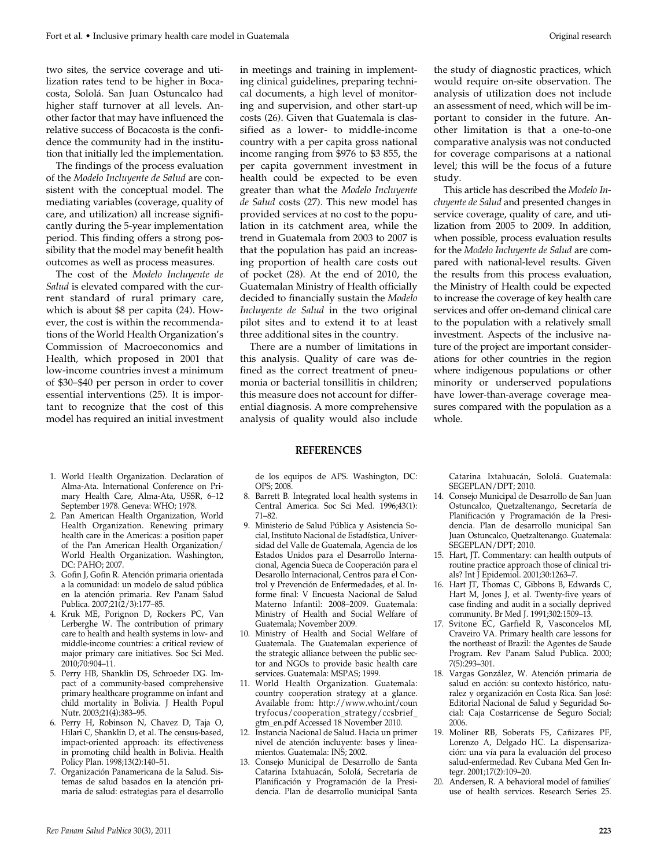two sites, the service coverage and utilization rates tend to be higher in Bocacosta, Sololá. San Juan Ostuncalco had higher staff turnover at all levels. Another factor that may have influenced the relative success of Bocacosta is the confidence the community had in the institution that initially led the implementation.

The findings of the process evaluation of the *Modelo Incluyente de Salud* are consistent with the conceptual model. The mediating variables (coverage, quality of care, and utilization) all increase significantly during the 5-year implementation period. This finding offers a strong possibility that the model may benefit health outcomes as well as process measures.

The cost of the *Modelo Incluyente de Salud* is elevated compared with the current standard of rural primary care, which is about \$8 per capita (24). However, the cost is within the recommendations of the World Health Organization's Commission of Macroeconomics and Health, which proposed in 2001 that low-income countries invest a minimum of \$30–\$40 per person in order to cover essential interventions (25). It is important to recognize that the cost of this model has required an initial investment

- 1. World Health Organization. Declaration of Alma-Ata. International Conference on Primary Health Care, Alma-Ata, USSR, 6–12 September 1978. Geneva: WHO; 1978.
- 2. Pan American Health Organization, World Health Organization. Renewing primary health care in the Americas: a position paper of the Pan American Health Organization/ World Health Organization. Washington, DC: PAHO; 2007.
- 3. Gofin J, Gofin R. Atención primaria orientada a la comunidad: un modelo de salud pública en la atención primaria. Rev Panam Salud Publica. 2007;21(2/3):177–85.
- 4. Kruk ME, Porignon D, Rockers PC, Van Lerberghe W. The contribution of primary care to health and health systems in low- and middle-income countries: a critical review of major primary care initiatives. Soc Sci Med. 2010;70:904–11.
- 5. Perry HB, Shanklin DS, Schroeder DG. Impact of a community-based comprehensive primary healthcare programme on infant and child mortality in Bolivia. J Health Popul Nutr. 2003;21(4):383–95.
- 6. Perry H, Robinson N, Chavez D, Taja O, Hilari C, Shanklin D, et al. The census-based, impact-oriented approach: its effectiveness in promoting child health in Bolivia. Health Policy Plan. 1998;13(2):140–51.
- 7. Organización Panamericana de la Salud. Sistemas de salud basados en la atención primaria de salud: estrategias para el desarrollo

in meetings and training in implementing clinical guidelines, preparing technical documents, a high level of monitoring and supervision, and other start-up costs (26). Given that Guatemala is classified as a lower- to middle-income country with a per capita gross national income ranging from \$976 to \$3 855, the per capita government investment in health could be expected to be even greater than what the *Modelo Incluyente de Salud* costs (27). This new model has provided services at no cost to the population in its catchment area, while the trend in Guatemala from 2003 to 2007 is that the population has paid an increasing proportion of health care costs out of pocket (28). At the end of 2010, the Guatemalan Ministry of Health officially decided to financially sustain the *Modelo Incluyente de Salud* in the two original pilot sites and to extend it to at least three additional sites in the country.

There are a number of limitations in this analysis. Quality of care was defined as the correct treatment of pneumonia or bacterial tonsillitis in children; this measure does not account for differential diagnosis. A more comprehensive analysis of quality would also include

#### **REFERENCES**

de los equipos de APS. Washington, DC: OPS; 2008.

- 8. Barrett B. Integrated local health systems in Central America. Soc Sci Med. 1996;43(1): 71–82.
- 9. Ministerio de Salud Pública y Asistencia Social, Instituto Nacional de Estadística, Universidad del Valle de Guatemala, Agencia de los Estados Unidos para el Desarrollo Internacional, Agencia Sueca de Cooperación para el Desarollo Internacional, Centros para el Control y Prevención de Enfermedades, et al. Informe final: V Encuesta Nacional de Salud Materno Infantil: 2008–2009. Guatemala: Ministry of Health and Social Welfare of Guatemala; November 2009.
- 10. Ministry of Health and Social Welfare of Guatemala. The Guatemalan experience of the strategic alliance between the public sector and NGOs to provide basic health care services. Guatemala: MSPAS; 1999.
- 11. World Health Organization. Guatemala: country cooperation strategy at a glance. Available from: http://www.who.int/coun tryfocus/cooperation\_strategy/ccsbrief\_ gtm\_en.pdf Accessed 18 November 2010.
- 12. Instancia Nacional de Salud. Hacia un primer nivel de atención incluyente: bases y lineamientos. Guatemala: INS; 2002.
- 13. Consejo Municipal de Desarrollo de Santa Catarina Ixtahuacán, Sololá, Secretaría de Planificación y Programación de la Presidencia. Plan de desarrollo municipal Santa

the study of diagnostic practices, which would require on-site observation. The analysis of utilization does not include an assessment of need, which will be important to consider in the future. Another limitation is that a one-to-one comparative analysis was not conducted for coverage comparisons at a national level; this will be the focus of a future study.

This article has described the *Modelo In cluyente de Salud* and presented changes in service coverage, quality of care, and utilization from 2005 to 2009. In addition, when possible, process evaluation results for the *Modelo Incluyente de Salud* are compared with national-level results. Given the results from this process evaluation, the Ministry of Health could be expected to increase the coverage of key health care services and offer on- demand clinical care to the population with a relatively small investment. Aspects of the inclusive nature of the project are important considerations for other countries in the region where indigenous populations or other minority or underserved populations have lower-than-average coverage measures compared with the population as a whole.

Catarina Ixtahuacán, Sololá. Guatemala: SEGEPLAN/DPT; 2010.

- 14. Consejo Municipal de Desarrollo de San Juan Ostuncalco, Quetzaltenango, Secretaría de Planificación y Programación de la Presidencia. Plan de desarrollo municipal San Juan Ostuncalco, Quetzaltenango. Guatemala: SEGEPLAN/DPT; 2010.
- 15. Hart, JT. Commentary: can health outputs of routine practice approach those of clinical trials? Int J Epidemiol. 2001;30:1263–7.
- 16. Hart JT, Thomas C, Gibbons B, Edwards C, Hart M, Jones J, et al. Twenty-five years of case finding and audit in a socially deprived community. Br Med J. 1991;302:1509–13.
- 17. Svitone EC, Garfield R, Vasconcelos MI, Craveiro VA. Primary health care lessons for the northeast of Brazil: the Agentes de Saude Program. Rev Panam Salud Publica. 2000; 7(5):293–301.
- 18. Vargas González, W. Atención primaria de salud en acción: su contexto histórico, naturalez y organización en Costa Rica. San José: Editorial Nacional de Salud y Seguridad Social: Caja Costarricense de Seguro Social; 2006.
- 19. Moliner RB, Soberats FS, Cañizares PF, Lorenzo A, Delgado HC. La dispensarización: una vía para la evaluación del proceso salud-enfermedad. Rev Cubana Med Gen Integr. 2001;17(2):109–20.
- 20. Andersen, R. A behavioral model of families' use of health services. Research Series 25.